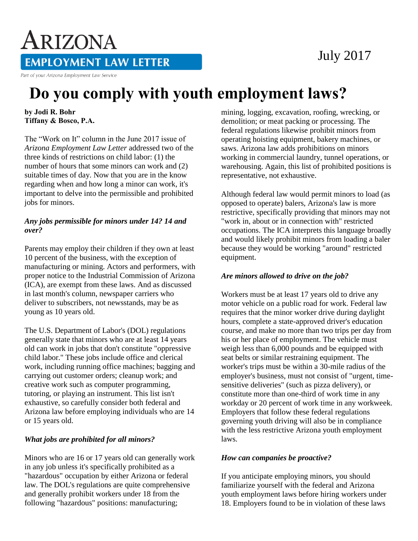# ARIZONA **EMPLOYMENT LAW LETTER**

Part of your Arizona Employment Law Service

# **Do you comply with youth employment laws?**

**by Jodi R. Bohr Tiffany & Bosco, P.A.** 

The "Work on It" column in the June 2017 issue of *Arizona Employment Law Letter* addressed two of the three kinds of restrictions on child labor: (1) the number of hours that some minors can work and (2) suitable times of day. Now that you are in the know regarding when and how long a minor can work, it's important to delve into the permissible and prohibited jobs for minors.

#### *Any jobs permissible for minors under 14? 14 and over?*

Parents may employ their children if they own at least 10 percent of the business, with the exception of manufacturing or mining. Actors and performers, with proper notice to the Industrial Commission of Arizona (ICA), are exempt from these laws. And as discussed in last month's column, newspaper carriers who deliver to subscribers, not newsstands, may be as young as 10 years old.

The U.S. Department of Labor's (DOL) regulations generally state that minors who are at least 14 years old can work in jobs that don't constitute "oppressive child labor." These jobs include office and clerical work, including running office machines; bagging and carrying out customer orders; cleanup work; and creative work such as computer programming, tutoring, or playing an instrument. This list isn't exhaustive, so carefully consider both federal and Arizona law before employing individuals who are 14 or 15 years old.

## *What jobs are prohibited for all minors?*

Minors who are 16 or 17 years old can generally work in any job unless it's specifically prohibited as a "hazardous" occupation by either Arizona or federal law. The DOL's regulations are quite comprehensive and generally prohibit workers under 18 from the following "hazardous" positions: manufacturing;

mining, logging, excavation, roofing, wrecking, or demolition; or meat packing or processing. The federal regulations likewise prohibit minors from operating hoisting equipment, bakery machines, or saws. Arizona law adds prohibitions on minors working in commercial laundry, tunnel operations, or warehousing. Again, this list of prohibited positions is representative, not exhaustive.

Although federal law would permit minors to load (as opposed to operate) balers, Arizona's law is more restrictive, specifically providing that minors may not "work in, about or in connection with" restricted occupations. The ICA interprets this language broadly and would likely prohibit minors from loading a baler because they would be working "around" restricted equipment.

### *Are minors allowed to drive on the job?*

Workers must be at least 17 years old to drive any motor vehicle on a public road for work. Federal law requires that the minor worker drive during daylight hours, complete a state-approved driver's education course, and make no more than two trips per day from his or her place of employment. The vehicle must weigh less than 6,000 pounds and be equipped with seat belts or similar restraining equipment. The worker's trips must be within a 30-mile radius of the employer's business, must not consist of "urgent, timesensitive deliveries" (such as pizza delivery), or constitute more than one-third of work time in any workday or 20 percent of work time in any workweek. Employers that follow these federal regulations governing youth driving will also be in compliance with the less restrictive Arizona youth employment laws.

### *How can companies be proactive?*

If you anticipate employing minors, you should familiarize yourself with the federal and Arizona youth employment laws before hiring workers under 18. Employers found to be in violation of these laws

# July 2017